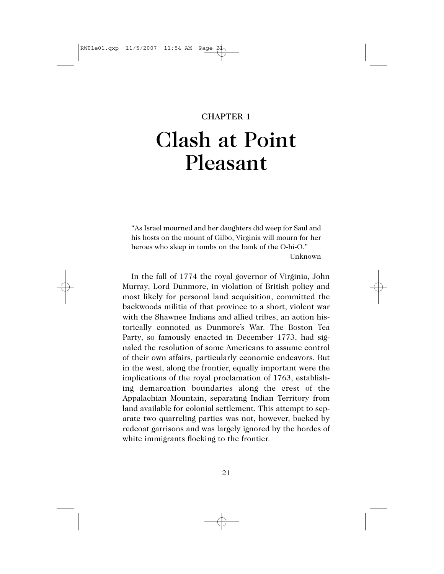## CHAPTER 1

## Clash at Point Pleasant

"As Israel mourned and her daughters did weep for Saul and his hosts on the mount of Gilbo, Virginia will mourn for her heroes who sleep in tombs on the bank of the O-hi-O." Unknown

In the fall of 1774 the royal governor of Virginia, John Murray, Lord Dunmore, in violation of British policy and most likely for personal land acquisition, committed the backwoods militia of that province to a short, violent war with the Shawnee Indians and allied tribes, an action historically connoted as Dunmore's War. The Boston Tea Party, so famously enacted in December 1773, had signaled the resolution of some Americans to assume control of their own affairs, particularly economic endeavors. But in the west, along the frontier, equally important were the implications of the royal proclamation of 1763, establishing demarcation boundaries along the crest of the Appalachian Mountain, separating Indian Territory from land available for colonial settlement. This attempt to separate two quarreling parties was not, however, backed by redcoat garrisons and was largely ignored by the hordes of white immigrants flocking to the frontier.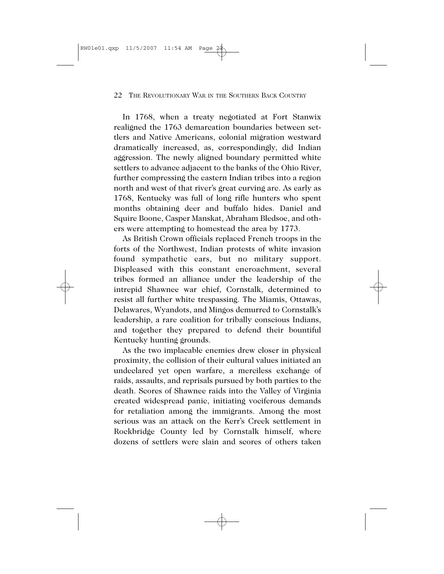In 1768, when a treaty negotiated at Fort Stanwix realigned the 1763 demarcation boundaries between settlers and Native Americans, colonial migration westward dramatically increased, as, correspondingly, did Indian aggression. The newly aligned boundary permitted white settlers to advance adjacent to the banks of the Ohio River, further compressing the eastern Indian tribes into a region north and west of that river's great curving arc. As early as 1768, Kentucky was full of long rifle hunters who spent months obtaining deer and buffalo hides. Daniel and Squire Boone, Casper Manskat, Abraham Bledsoe, and others were attempting to homestead the area by 1773.

As British Crown officials replaced French troops in the forts of the Northwest, Indian protests of white invasion found sympathetic ears, but no military support. Displeased with this constant encroachment, several tribes formed an alliance under the leadership of the intrepid Shawnee war chief, Cornstalk, determined to resist all further white trespassing. The Miamis, Ottawas, Delawares, Wyandots, and Mingos demurred to Cornstalk's leadership, a rare coalition for tribally conscious Indians, and together they prepared to defend their bountiful Kentucky hunting grounds.

As the two implacable enemies drew closer in physical proximity, the collision of their cultural values initiated an undeclared yet open warfare, a merciless exchange of raids, assaults, and reprisals pursued by both parties to the death. Scores of Shawnee raids into the Valley of Virginia created widespread panic, initiating vociferous demands for retaliation among the immigrants. Among the most serious was an attack on the Kerr's Creek settlement in Rockbridge County led by Cornstalk himself, where dozens of settlers were slain and scores of others taken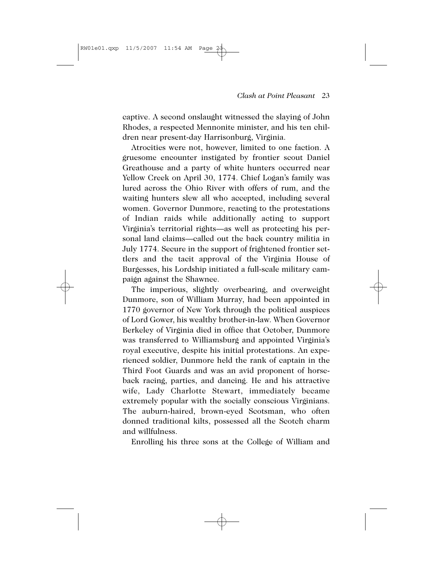captive. A second onslaught witnessed the slaying of John Rhodes, a respected Mennonite minister, and his ten children near present-day Harrisonburg, Virginia.

Atrocities were not, however, limited to one faction. A gruesome encounter instigated by frontier scout Daniel Greathouse and a party of white hunters occurred near Yellow Creek on April 30, 1774. Chief Logan's family was lured across the Ohio River with offers of rum, and the waiting hunters slew all who accepted, including several women. Governor Dunmore, reacting to the protestations of Indian raids while additionally acting to support Virginia's territorial rights—as well as protecting his personal land claims—called out the back country militia in July 1774. Secure in the support of frightened frontier settlers and the tacit approval of the Virginia House of Burgesses, his Lordship initiated a full-scale military campaign against the Shawnee.

The imperious, slightly overbearing, and overweight Dunmore, son of William Murray, had been appointed in 1770 governor of New York through the political auspices of Lord Gower, his wealthy brother-in-law. When Governor Berkeley of Virginia died in office that October, Dunmore was transferred to Williamsburg and appointed Virginia's royal executive, despite his initial protestations. An experienced soldier, Dunmore held the rank of captain in the Third Foot Guards and was an avid proponent of horseback racing, parties, and dancing. He and his attractive wife, Lady Charlotte Stewart, immediately became extremely popular with the socially conscious Virginians. The auburn-haired, brown-eyed Scotsman, who often donned traditional kilts, possessed all the Scotch charm and willfulness.

Enrolling his three sons at the College of William and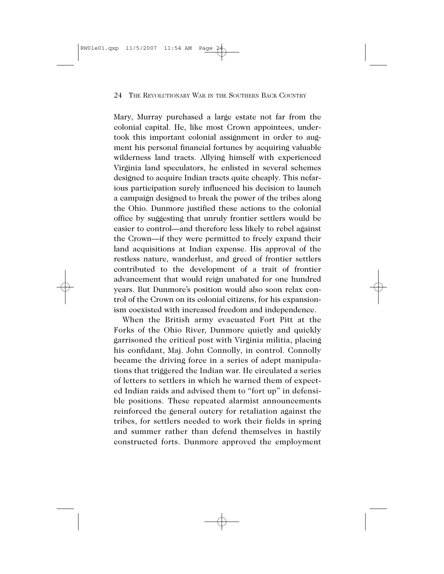Mary, Murray purchased a large estate not far from the colonial capital. He, like most Crown appointees, undertook this important colonial assignment in order to augment his personal financial fortunes by acquiring valuable wilderness land tracts. Allying himself with experienced Virginia land speculators, he enlisted in several schemes designed to acquire Indian tracts quite cheaply. This nefarious participation surely influenced his decision to launch a campaign designed to break the power of the tribes along the Ohio. Dunmore justified these actions to the colonial office by suggesting that unruly frontier settlers would be easier to control—and therefore less likely to rebel against the Crown—if they were permitted to freely expand their land acquisitions at Indian expense. His approval of the restless nature, wanderlust, and greed of frontier settlers contributed to the development of a trait of frontier advancement that would reign unabated for one hundred years. But Dunmore's position would also soon relax control of the Crown on its colonial citizens, for his expansionism coexisted with increased freedom and independence.

When the British army evacuated Fort Pitt at the Forks of the Ohio River, Dunmore quietly and quickly garrisoned the critical post with Virginia militia, placing his confidant, Maj. John Connolly, in control. Connolly became the driving force in a series of adept manipulations that triggered the Indian war. He circulated a series of letters to settlers in which he warned them of expected Indian raids and advised them to "fort up" in defensible positions. These repeated alarmist announcements reinforced the general outcry for retaliation against the tribes, for settlers needed to work their fields in spring and summer rather than defend themselves in hastily constructed forts. Dunmore approved the employment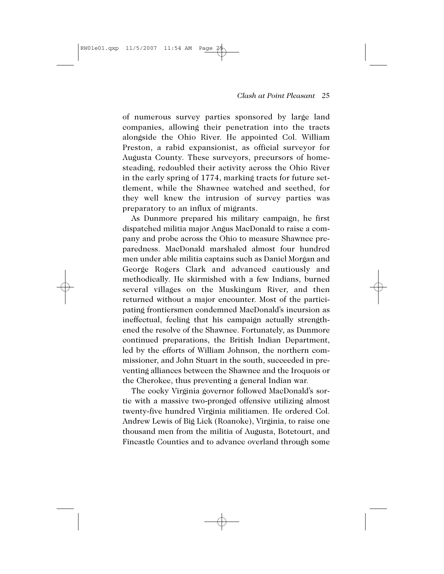of numerous survey parties sponsored by large land companies, allowing their penetration into the tracts alongside the Ohio River. He appointed Col. William Preston, a rabid expansionist, as official surveyor for Augusta County. These surveyors, precursors of homesteading, redoubled their activity across the Ohio River in the early spring of 1774, marking tracts for future settlement, while the Shawnee watched and seethed, for they well knew the intrusion of survey parties was preparatory to an influx of migrants.

As Dunmore prepared his military campaign, he first dispatched militia major Angus MacDonald to raise a company and probe across the Ohio to measure Shawnee preparedness. MacDonald marshaled almost four hundred men under able militia captains such as Daniel Morgan and George Rogers Clark and advanced cautiously and methodically. He skirmished with a few Indians, burned several villages on the Muskingum River, and then returned without a major encounter. Most of the participating frontiersmen condemned MacDonald's incursion as ineffectual, feeling that his campaign actually strengthened the resolve of the Shawnee. Fortunately, as Dunmore continued preparations, the British Indian Department, led by the efforts of William Johnson, the northern commissioner, and John Stuart in the south, succeeded in preventing alliances between the Shawnee and the Iroquois or the Cherokee, thus preventing a general Indian war.

The cocky Virginia governor followed MacDonald's sortie with a massive two-pronged offensive utilizing almost twenty-five hundred Virginia militiamen. He ordered Col. Andrew Lewis of Big Lick (Roanoke), Virginia, to raise one thousand men from the militia of Augusta, Botetourt, and Fincastle Counties and to advance overland through some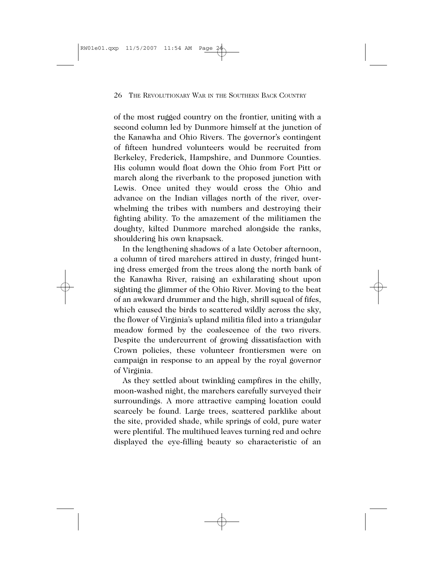of the most rugged country on the frontier, uniting with a second column led by Dunmore himself at the junction of the Kanawha and Ohio Rivers. The governor's contingent of fifteen hundred volunteers would be recruited from Berkeley, Frederick, Hampshire, and Dunmore Counties. His column would float down the Ohio from Fort Pitt or march along the riverbank to the proposed junction with Lewis. Once united they would cross the Ohio and advance on the Indian villages north of the river, overwhelming the tribes with numbers and destroying their fighting ability. To the amazement of the militiamen the doughty, kilted Dunmore marched alongside the ranks, shouldering his own knapsack.

In the lengthening shadows of a late October afternoon, a column of tired marchers attired in dusty, fringed hunting dress emerged from the trees along the north bank of the Kanawha River, raising an exhilarating shout upon sighting the glimmer of the Ohio River. Moving to the beat of an awkward drummer and the high, shrill squeal of fifes, which caused the birds to scattered wildly across the sky, the flower of Virginia's upland militia filed into a triangular meadow formed by the coalescence of the two rivers. Despite the undercurrent of growing dissatisfaction with Crown policies, these volunteer frontiersmen were on campaign in response to an appeal by the royal governor of Virginia.

As they settled about twinkling campfires in the chilly, moon-washed night, the marchers carefully surveyed their surroundings. A more attractive camping location could scarcely be found. Large trees, scattered parklike about the site, provided shade, while springs of cold, pure water were plentiful. The multihued leaves turning red and ochre displayed the eye-filling beauty so characteristic of an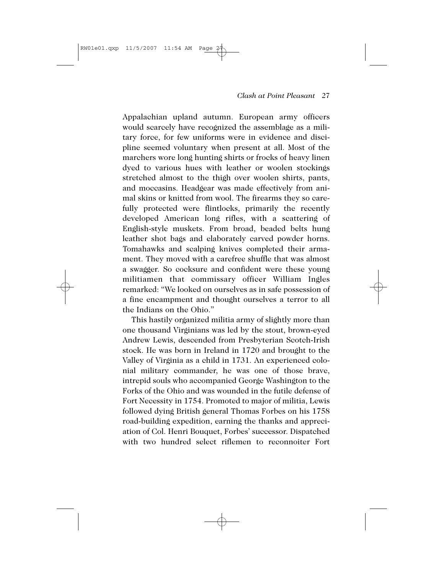Appalachian upland autumn. European army officers would scarcely have recognized the assemblage as a military force, for few uniforms were in evidence and discipline seemed voluntary when present at all. Most of the marchers wore long hunting shirts or frocks of heavy linen dyed to various hues with leather or woolen stockings stretched almost to the thigh over woolen shirts, pants, and moccasins. Headgear was made effectively from animal skins or knitted from wool. The firearms they so carefully protected were flintlocks, primarily the recently developed American long rifles, with a scattering of English-style muskets. From broad, beaded belts hung leather shot bags and elaborately carved powder horns. Tomahawks and scalping knives completed their armament. They moved with a carefree shuffle that was almost a swagger. So cocksure and confident were these young militiamen that commissary officer William Ingles remarked: "We looked on ourselves as in safe possession of a fine encampment and thought ourselves a terror to all the Indians on the Ohio."

This hastily organized militia army of slightly more than one thousand Virginians was led by the stout, brown-eyed Andrew Lewis, descended from Presbyterian Scotch-Irish stock. He was born in Ireland in 1720 and brought to the Valley of Virginia as a child in 1731. An experienced colonial military commander, he was one of those brave, intrepid souls who accompanied George Washington to the Forks of the Ohio and was wounded in the futile defense of Fort Necessity in 1754. Promoted to major of militia, Lewis followed dying British general Thomas Forbes on his 1758 road-building expedition, earning the thanks and appreciation of Col. Henri Bouquet, Forbes' successor. Dispatched with two hundred select riflemen to reconnoiter Fort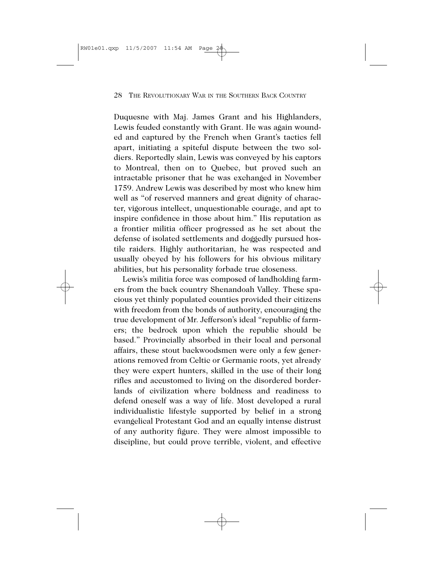Duquesne with Maj. James Grant and his Highlanders, Lewis feuded constantly with Grant. He was again wounded and captured by the French when Grant's tactics fell apart, initiating a spiteful dispute between the two soldiers. Reportedly slain, Lewis was conveyed by his captors to Montreal, then on to Quebec, but proved such an intractable prisoner that he was exchanged in November 1759. Andrew Lewis was described by most who knew him well as "of reserved manners and great dignity of character, vigorous intellect, unquestionable courage, and apt to inspire confidence in those about him." His reputation as a frontier militia officer progressed as he set about the defense of isolated settlements and doggedly pursued hostile raiders. Highly authoritarian, he was respected and usually obeyed by his followers for his obvious military abilities, but his personality forbade true closeness.

Lewis's militia force was composed of landholding farmers from the back country Shenandoah Valley. These spacious yet thinly populated counties provided their citizens with freedom from the bonds of authority, encouraging the true development of Mr. Jefferson's ideal "republic of farmers; the bedrock upon which the republic should be based." Provincially absorbed in their local and personal affairs, these stout backwoodsmen were only a few generations removed from Celtic or Germanic roots, yet already they were expert hunters, skilled in the use of their long rifles and accustomed to living on the disordered borderlands of civilization where boldness and readiness to defend oneself was a way of life. Most developed a rural individualistic lifestyle supported by belief in a strong evangelical Protestant God and an equally intense distrust of any authority figure. They were almost impossible to discipline, but could prove terrible, violent, and effective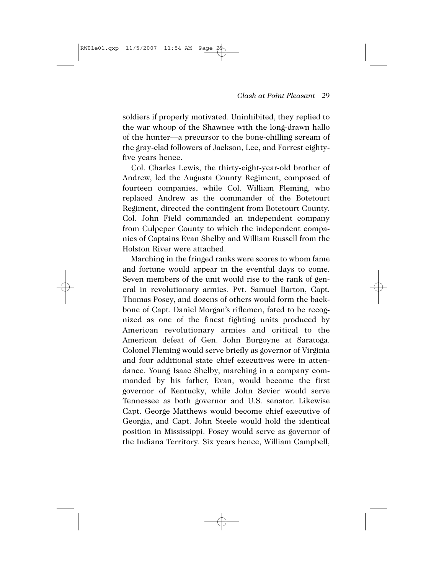soldiers if properly motivated. Uninhibited, they replied to the war whoop of the Shawnee with the long-drawn hallo of the hunter—a precursor to the bone-chilling scream of the gray-clad followers of Jackson, Lee, and Forrest eightyfive years hence.

Col. Charles Lewis, the thirty-eight-year-old brother of Andrew, led the Augusta County Regiment, composed of fourteen companies, while Col. William Fleming, who replaced Andrew as the commander of the Botetourt Regiment, directed the contingent from Botetourt County. Col. John Field commanded an independent company from Culpeper County to which the independent companies of Captains Evan Shelby and William Russell from the Holston River were attached.

Marching in the fringed ranks were scores to whom fame and fortune would appear in the eventful days to come. Seven members of the unit would rise to the rank of general in revolutionary armies. Pvt. Samuel Barton, Capt. Thomas Posey, and dozens of others would form the backbone of Capt. Daniel Morgan's riflemen, fated to be recognized as one of the finest fighting units produced by American revolutionary armies and critical to the American defeat of Gen. John Burgoyne at Saratoga. Colonel Fleming would serve briefly as governor of Virginia and four additional state chief executives were in attendance. Young Isaac Shelby, marching in a company commanded by his father, Evan, would become the first governor of Kentucky, while John Sevier would serve Tennessee as both governor and U.S. senator. Likewise Capt. George Matthews would become chief executive of Georgia, and Capt. John Steele would hold the identical position in Mississippi. Posey would serve as governor of the Indiana Territory. Six years hence, William Campbell,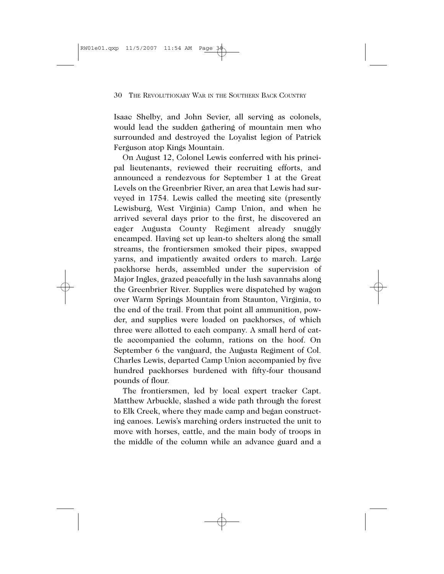Isaac Shelby, and John Sevier, all serving as colonels, would lead the sudden gathering of mountain men who surrounded and destroyed the Loyalist legion of Patrick Ferguson atop Kings Mountain.

On August 12, Colonel Lewis conferred with his principal lieutenants, reviewed their recruiting efforts, and announced a rendezvous for September 1 at the Great Levels on the Greenbrier River, an area that Lewis had surveyed in 1754. Lewis called the meeting site (presently Lewisburg, West Virginia) Camp Union, and when he arrived several days prior to the first, he discovered an eager Augusta County Regiment already snuggly encamped. Having set up lean-to shelters along the small streams, the frontiersmen smoked their pipes, swapped yarns, and impatiently awaited orders to march. Large packhorse herds, assembled under the supervision of Major Ingles, grazed peacefully in the lush savannahs along the Greenbrier River. Supplies were dispatched by wagon over Warm Springs Mountain from Staunton, Virginia, to the end of the trail. From that point all ammunition, powder, and supplies were loaded on packhorses, of which three were allotted to each company. A small herd of cattle accompanied the column, rations on the hoof. On September 6 the vanguard, the Augusta Regiment of Col. Charles Lewis, departed Camp Union accompanied by five hundred packhorses burdened with fifty-four thousand pounds of flour.

The frontiersmen, led by local expert tracker Capt. Matthew Arbuckle, slashed a wide path through the forest to Elk Creek, where they made camp and began constructing canoes. Lewis's marching orders instructed the unit to move with horses, cattle, and the main body of troops in the middle of the column while an advance guard and a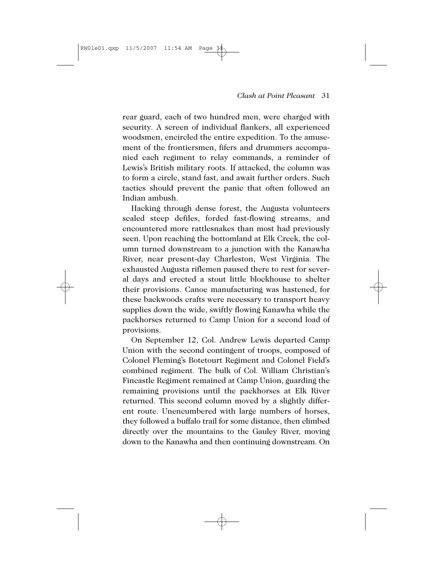rear guard, each of two hundred men, were charged with security. A screen of individual flankers, all experienced woodsmen, encircled the entire expedition. To the amusement of the frontiersmen, fifers and drummers accompanied each regiment to relay commands, a reminder of Lewis's British military roots. If attacked, the column was to form a circle, stand fast, and await further orders. Such tactics should prevent the panic that often followed an Indian ambush.

Hacking through dense forest, the Augusta volunteers scaled steep defiles, forded fast-flowing streams, and encountered more rattlesnakes than most had previously seen. Upon reaching the bottomland at Elk Creek, the column turned downstream to a junction with the Kanawha River, near present-day Charleston, West Virginia. The exhausted Augusta riflemen paused there to rest for several days and erected a stout little blockhouse to shelter their provisions. Canoe manufacturing was hastened, for these backwoods crafts were necessary to transport heavy supplies down the wide, swiftly flowing Kanawha while the packhorses returned to Camp Union for a second load of provisions.

On September 12, Col. Andrew Lewis departed Camp Union with the second contingent of troops, composed of Colonel Fleming's Botetourt Regiment and Colonel Field's combined regiment. The bulk of Col. William Christian's Fincastle Regiment remained at Camp Union, guarding the remaining provisions until the packhorses at Elk River returned. This second column moved by a slightly different route. Unencumbered with large numbers of horses, they followed a buffalo trail for some distance, then climbed directly over the mountains to the Gauley River, moving down to the Kanawha and then continuing downstream. On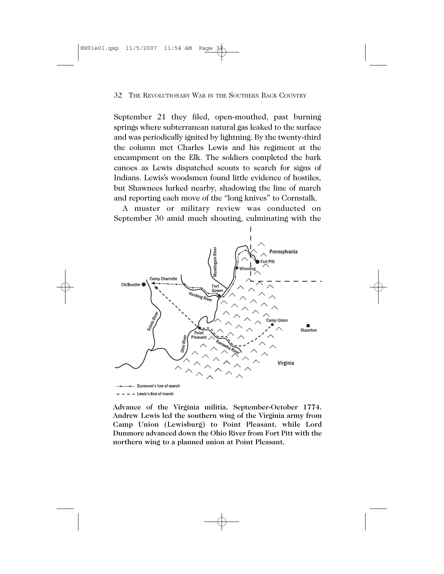September 21 they filed, open-mouthed, past burning springs where subterranean natural gas leaked to the surface and was periodically ignited by lightning. By the twenty-third the column met Charles Lewis and his regiment at the encampment on the Elk. The soldiers completed the bark canoes as Lewis dispatched scouts to search for signs of Indians. Lewis's woodsmen found little evidence of hostiles, but Shawnees lurked nearby, shadowing the line of march and reporting each move of the "long knives" to Cornstalk.

A muster or military review was conducted on September 30 amid much shouting, culminating with the



Advance of the Virginia militia, September-October 1774. Andrew Lewis led the southern wing of the Virginia army from Camp Union (Lewisburg) to Point Pleasant, while Lord Dunmore advanced down the Ohio River from Fort Pitt with the northern wing to a planned union at Point Pleasant.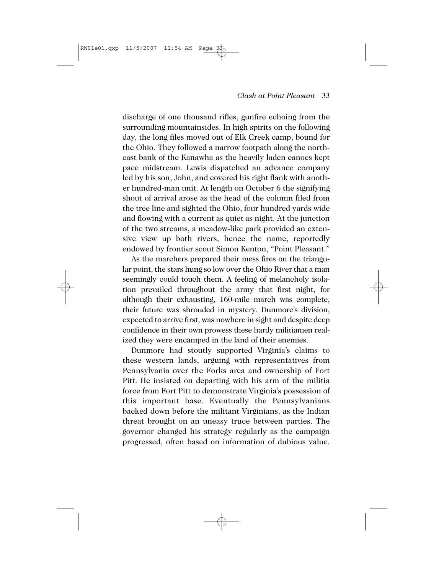discharge of one thousand rifles, gunfire echoing from the surrounding mountainsides. In high spirits on the following day, the long files moved out of Elk Creek camp, bound for the Ohio. They followed a narrow footpath along the northeast bank of the Kanawha as the heavily laden canoes kept pace midstream. Lewis dispatched an advance company led by his son, John, and covered his right flank with another hundred-man unit. At length on October 6 the signifying shout of arrival arose as the head of the column filed from the tree line and sighted the Ohio, four hundred yards wide and flowing with a current as quiet as night. At the junction of the two streams, a meadow-like park provided an extensive view up both rivers, hence the name, reportedly endowed by frontier scout Simon Kenton, "Point Pleasant."

As the marchers prepared their mess fires on the triangular point, the stars hung so low over the Ohio River that a man seemingly could touch them. A feeling of melancholy isolation prevailed throughout the army that first night, for although their exhausting, 160-mile march was complete, their future was shrouded in mystery. Dunmore's division, expected to arrive first, was nowhere in sight and despite deep confidence in their own prowess these hardy militiamen realized they were encamped in the land of their enemies.

Dunmore had stoutly supported Virginia's claims to these western lands, arguing with representatives from Pennsylvania over the Forks area and ownership of Fort Pitt. He insisted on departing with his arm of the militia force from Fort Pitt to demonstrate Virginia's possession of this important base. Eventually the Pennsylvanians backed down before the militant Virginians, as the Indian threat brought on an uneasy truce between parties. The governor changed his strategy regularly as the campaign progressed, often based on information of dubious value.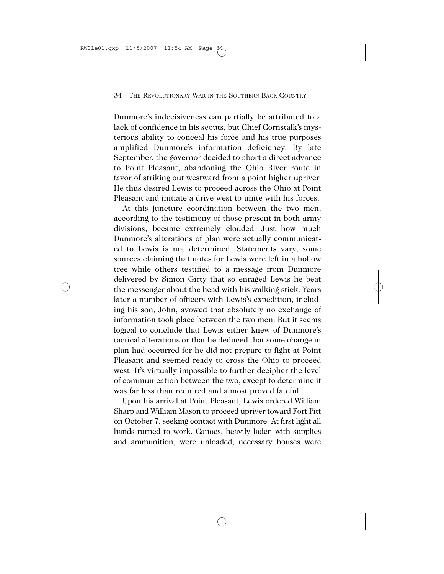Dunmore's indecisiveness can partially be attributed to a lack of confidence in his scouts, but Chief Cornstalk's mysterious ability to conceal his force and his true purposes amplified Dunmore's information deficiency. By late September, the governor decided to abort a direct advance to Point Pleasant, abandoning the Ohio River route in favor of striking out westward from a point higher upriver. He thus desired Lewis to proceed across the Ohio at Point Pleasant and initiate a drive west to unite with his forces.

At this juncture coordination between the two men, according to the testimony of those present in both army divisions, became extremely clouded. Just how much Dunmore's alterations of plan were actually communicated to Lewis is not determined. Statements vary, some sources claiming that notes for Lewis were left in a hollow tree while others testified to a message from Dunmore delivered by Simon Girty that so enraged Lewis he beat the messenger about the head with his walking stick. Years later a number of officers with Lewis's expedition, including his son, John, avowed that absolutely no exchange of information took place between the two men. But it seems logical to conclude that Lewis either knew of Dunmore's tactical alterations or that he deduced that some change in plan had occurred for he did not prepare to fight at Point Pleasant and seemed ready to cross the Ohio to proceed west. It's virtually impossible to further decipher the level of communication between the two, except to determine it was far less than required and almost proved fateful.

Upon his arrival at Point Pleasant, Lewis ordered William Sharp and William Mason to proceed upriver toward Fort Pitt on October 7, seeking contact with Dunmore. At first light all hands turned to work. Canoes, heavily laden with supplies and ammunition, were unloaded, necessary houses were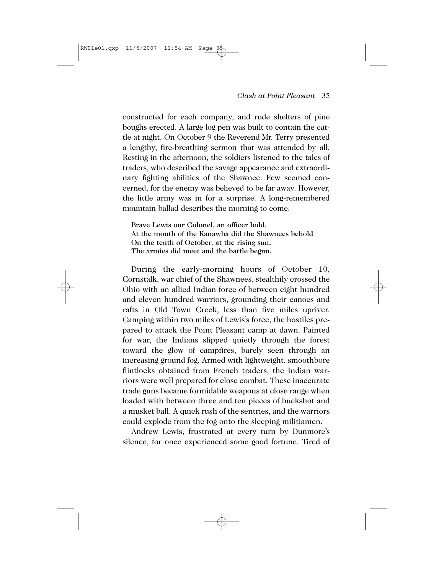constructed for each company, and rude shelters of pine boughs erected. A large log pen was built to contain the cattle at night. On October 9 the Reverend Mr. Terry presented a lengthy, fire-breathing sermon that was attended by all. Resting in the afternoon, the soldiers listened to the tales of traders, who described the savage appearance and extraordinary fighting abilities of the Shawnee. Few seemed concerned, for the enemy was believed to be far away. However, the little army was in for a surprise. A long-remembered mountain ballad describes the morning to come:

Brave Lewis our Colonel, an officer bold, At the mouth of the Kanawha did the Shawnees behold On the tenth of October, at the rising sun, The armies did meet and the battle begun.

During the early-morning hours of October 10, Cornstalk, war chief of the Shawnees, stealthily crossed the Ohio with an allied Indian force of between eight hundred and eleven hundred warriors, grounding their canoes and rafts in Old Town Creek, less than five miles upriver. Camping within two miles of Lewis's force, the hostiles prepared to attack the Point Pleasant camp at dawn. Painted for war, the Indians slipped quietly through the forest toward the glow of campfires, barely seen through an increasing ground fog. Armed with lightweight, smoothbore flintlocks obtained from French traders, the Indian warriors were well prepared for close combat. These inaccurate trade guns became formidable weapons at close range when loaded with between three and ten pieces of buckshot and a musket ball. A quick rush of the sentries, and the warriors could explode from the fog onto the sleeping militiamen.

Andrew Lewis, frustrated at every turn by Dunmore's silence, for once experienced some good fortune. Tired of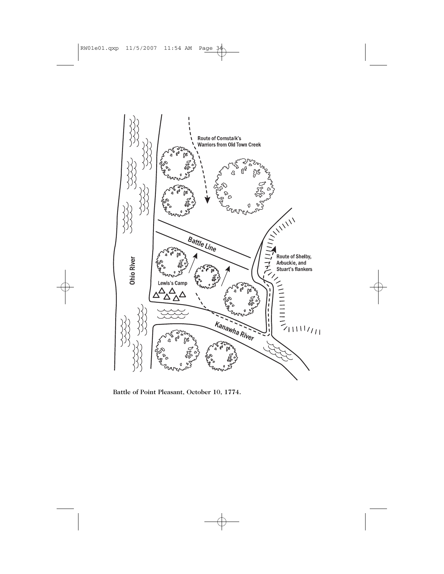

Battle of Point Pleasant, October 10, 1774.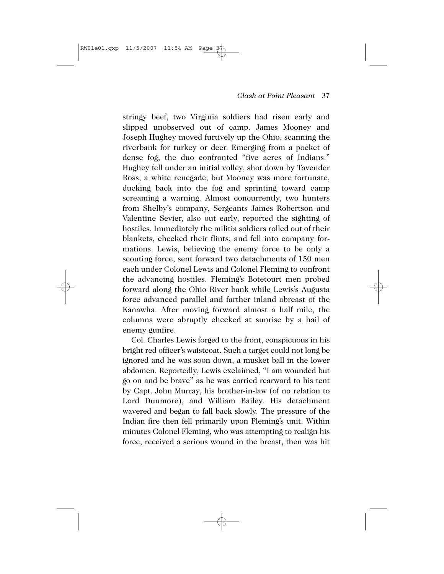stringy beef, two Virginia soldiers had risen early and slipped unobserved out of camp. James Mooney and Joseph Hughey moved furtively up the Ohio, scanning the riverbank for turkey or deer. Emerging from a pocket of dense fog, the duo confronted "five acres of Indians." Hughey fell under an initial volley, shot down by Tavender Ross, a white renegade, but Mooney was more fortunate, ducking back into the fog and sprinting toward camp screaming a warning. Almost concurrently, two hunters from Shelby's company, Sergeants James Robertson and Valentine Sevier, also out early, reported the sighting of hostiles. Immediately the militia soldiers rolled out of their blankets, checked their flints, and fell into company formations. Lewis, believing the enemy force to be only a scouting force, sent forward two detachments of 150 men each under Colonel Lewis and Colonel Fleming to confront the advancing hostiles. Fleming's Botetourt men probed forward along the Ohio River bank while Lewis's Augusta force advanced parallel and farther inland abreast of the Kanawha. After moving forward almost a half mile, the columns were abruptly checked at sunrise by a hail of enemy gunfire.

Col. Charles Lewis forged to the front, conspicuous in his bright red officer's waistcoat. Such a target could not long be ignored and he was soon down, a musket ball in the lower abdomen. Reportedly, Lewis exclaimed, "I am wounded but go on and be brave" as he was carried rearward to his tent by Capt. John Murray, his brother-in-law (of no relation to Lord Dunmore), and William Bailey. His detachment wavered and began to fall back slowly. The pressure of the Indian fire then fell primarily upon Fleming's unit. Within minutes Colonel Fleming, who was attempting to realign his force, received a serious wound in the breast, then was hit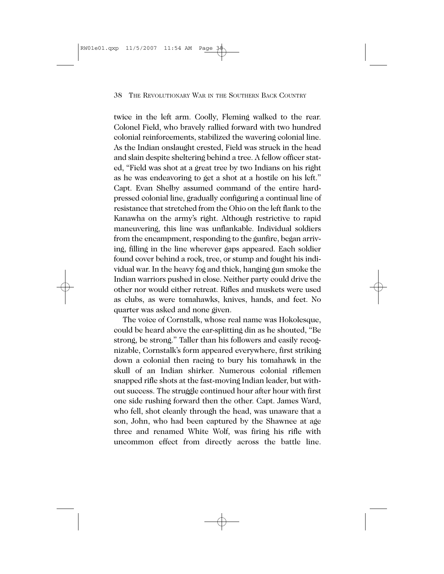twice in the left arm. Coolly, Fleming walked to the rear. Colonel Field, who bravely rallied forward with two hundred colonial reinforcements, stabilized the wavering colonial line. As the Indian onslaught crested, Field was struck in the head and slain despite sheltering behind a tree. A fellow officer stated, "Field was shot at a great tree by two Indians on his right as he was endeavoring to get a shot at a hostile on his left." Capt. Evan Shelby assumed command of the entire hardpressed colonial line, gradually configuring a continual line of resistance that stretched from the Ohio on the left flank to the Kanawha on the army's right. Although restrictive to rapid maneuvering, this line was unflankable. Individual soldiers from the encampment, responding to the gunfire, began arriving, filling in the line wherever gaps appeared. Each soldier found cover behind a rock, tree, or stump and fought his individual war. In the heavy fog and thick, hanging gun smoke the Indian warriors pushed in close. Neither party could drive the other nor would either retreat. Rifles and muskets were used as clubs, as were tomahawks, knives, hands, and feet. No quarter was asked and none given.

The voice of Cornstalk, whose real name was Hokolesque, could be heard above the ear-splitting din as he shouted, "Be strong, be strong." Taller than his followers and easily recognizable, Cornstalk's form appeared everywhere, first striking down a colonial then racing to bury his tomahawk in the skull of an Indian shirker. Numerous colonial riflemen snapped rifle shots at the fast-moving Indian leader, but without success. The struggle continued hour after hour with first one side rushing forward then the other. Capt. James Ward, who fell, shot cleanly through the head, was unaware that a son, John, who had been captured by the Shawnee at age three and renamed White Wolf, was firing his rifle with uncommon effect from directly across the battle line.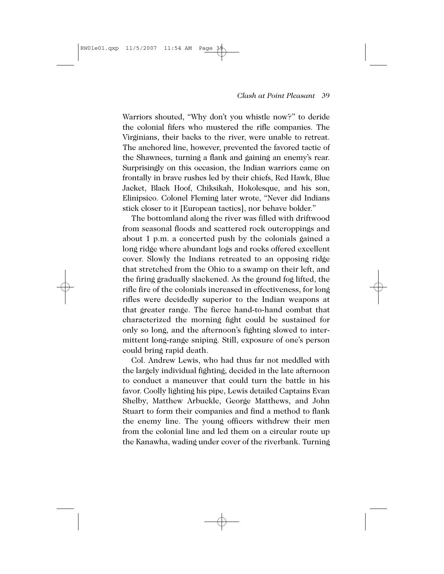Warriors shouted, "Why don't you whistle now?" to deride the colonial fifers who mustered the rifle companies. The Virginians, their backs to the river, were unable to retreat. The anchored line, however, prevented the favored tactic of the Shawnees, turning a flank and gaining an enemy's rear. Surprisingly on this occasion, the Indian warriors came on frontally in brave rushes led by their chiefs, Red Hawk, Blue Jacket, Black Hoof, Chiksikah, Hokolesque, and his son, Elinipsico. Colonel Fleming later wrote, "Never did Indians stick closer to it [European tactics], nor behave bolder."

The bottomland along the river was filled with driftwood from seasonal floods and scattered rock outcroppings and about 1 p.m. a concerted push by the colonials gained a long ridge where abundant logs and rocks offered excellent cover. Slowly the Indians retreated to an opposing ridge that stretched from the Ohio to a swamp on their left, and the firing gradually slackened. As the ground fog lifted, the rifle fire of the colonials increased in effectiveness, for long rifles were decidedly superior to the Indian weapons at that greater range. The fierce hand-to-hand combat that characterized the morning fight could be sustained for only so long, and the afternoon's fighting slowed to intermittent long-range sniping. Still, exposure of one's person could bring rapid death.

Col. Andrew Lewis, who had thus far not meddled with the largely individual fighting, decided in the late afternoon to conduct a maneuver that could turn the battle in his favor. Coolly lighting his pipe, Lewis detailed Captains Evan Shelby, Matthew Arbuckle, George Matthews, and John Stuart to form their companies and find a method to flank the enemy line. The young officers withdrew their men from the colonial line and led them on a circular route up the Kanawha, wading under cover of the riverbank. Turning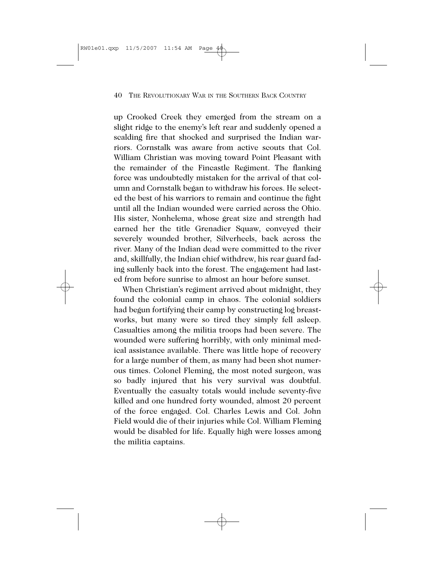up Crooked Creek they emerged from the stream on a slight ridge to the enemy's left rear and suddenly opened a scalding fire that shocked and surprised the Indian warriors. Cornstalk was aware from active scouts that Col. William Christian was moving toward Point Pleasant with the remainder of the Fincastle Regiment. The flanking force was undoubtedly mistaken for the arrival of that column and Cornstalk began to withdraw his forces. He selected the best of his warriors to remain and continue the fight until all the Indian wounded were carried across the Ohio. His sister, Nonhelema, whose great size and strength had earned her the title Grenadier Squaw, conveyed their severely wounded brother, Silverheels, back across the river. Many of the Indian dead were committed to the river and, skillfully, the Indian chief withdrew, his rear guard fading sullenly back into the forest. The engagement had lasted from before sunrise to almost an hour before sunset.

When Christian's regiment arrived about midnight, they found the colonial camp in chaos. The colonial soldiers had begun fortifying their camp by constructing log breastworks, but many were so tired they simply fell asleep. Casualties among the militia troops had been severe. The wounded were suffering horribly, with only minimal medical assistance available. There was little hope of recovery for a large number of them, as many had been shot numerous times. Colonel Fleming, the most noted surgeon, was so badly injured that his very survival was doubtful. Eventually the casualty totals would include seventy-five killed and one hundred forty wounded, almost 20 percent of the force engaged. Col. Charles Lewis and Col. John Field would die of their injuries while Col. William Fleming would be disabled for life. Equally high were losses among the militia captains.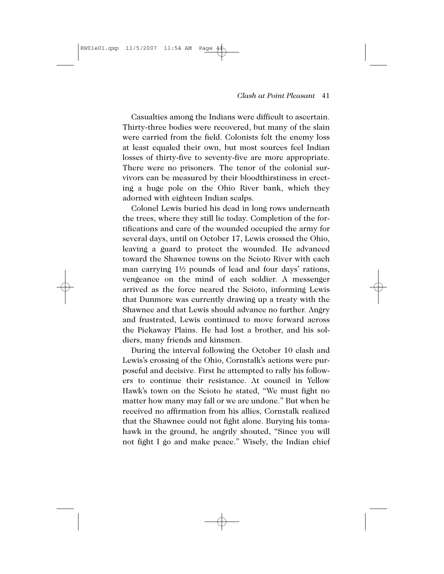Casualties among the Indians were difficult to ascertain. Thirty-three bodies were recovered, but many of the slain were carried from the field. Colonists felt the enemy loss at least equaled their own, but most sources feel Indian losses of thirty-five to seventy-five are more appropriate. There were no prisoners. The tenor of the colonial survivors can be measured by their bloodthirstiness in erecting a huge pole on the Ohio River bank, which they adorned with eighteen Indian scalps.

Colonel Lewis buried his dead in long rows underneath the trees, where they still lie today. Completion of the fortifications and care of the wounded occupied the army for several days, until on October 17, Lewis crossed the Ohio, leaving a guard to protect the wounded. He advanced toward the Shawnee towns on the Scioto River with each man carrying 1½ pounds of lead and four days' rations, vengeance on the mind of each soldier. A messenger arrived as the force neared the Scioto, informing Lewis that Dunmore was currently drawing up a treaty with the Shawnee and that Lewis should advance no further. Angry and frustrated, Lewis continued to move forward across the Pickaway Plains. He had lost a brother, and his soldiers, many friends and kinsmen.

During the interval following the October 10 clash and Lewis's crossing of the Ohio, Cornstalk's actions were purposeful and decisive. First he attempted to rally his followers to continue their resistance. At council in Yellow Hawk's town on the Scioto he stated, "We must fight no matter how many may fall or we are undone." But when he received no affirmation from his allies, Cornstalk realized that the Shawnee could not fight alone. Burying his tomahawk in the ground, he angrily shouted, "Since you will not fight I go and make peace." Wisely, the Indian chief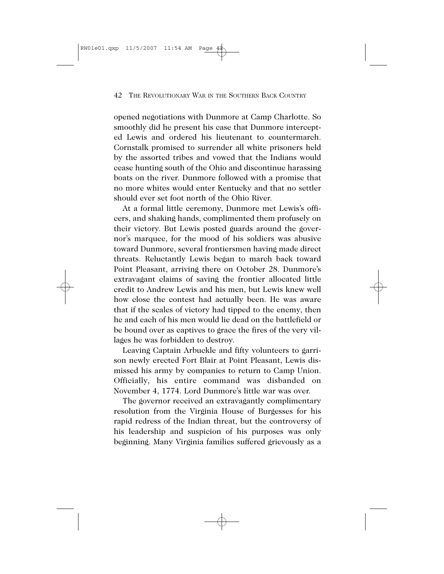opened negotiations with Dunmore at Camp Charlotte. So smoothly did he present his case that Dunmore intercepted Lewis and ordered his lieutenant to countermarch. Cornstalk promised to surrender all white prisoners held by the assorted tribes and vowed that the Indians would cease hunting south of the Ohio and discontinue harassing boats on the river. Dunmore followed with a promise that no more whites would enter Kentucky and that no settler should ever set foot north of the Ohio River.

At a formal little ceremony, Dunmore met Lewis's officers, and shaking hands, complimented them profusely on their victory. But Lewis posted guards around the governor's marquee, for the mood of his soldiers was abusive toward Dunmore, several frontiersmen having made direct threats. Reluctantly Lewis began to march back toward Point Pleasant, arriving there on October 28. Dunmore's extravagant claims of saving the frontier allocated little credit to Andrew Lewis and his men, but Lewis knew well how close the contest had actually been. He was aware that if the scales of victory had tipped to the enemy, then he and each of his men would lie dead on the battlefield or be bound over as captives to grace the fires of the very villages he was forbidden to destroy.

Leaving Captain Arbuckle and fifty volunteers to garrison newly erected Fort Blair at Point Pleasant, Lewis dismissed his army by companies to return to Camp Union. Officially, his entire command was disbanded on November 4, 1774. Lord Dunmore's little war was over.

The governor received an extravagantly complimentary resolution from the Virginia House of Burgesses for his rapid redress of the Indian threat, but the controversy of his leadership and suspicion of his purposes was only beginning. Many Virginia families suffered grievously as a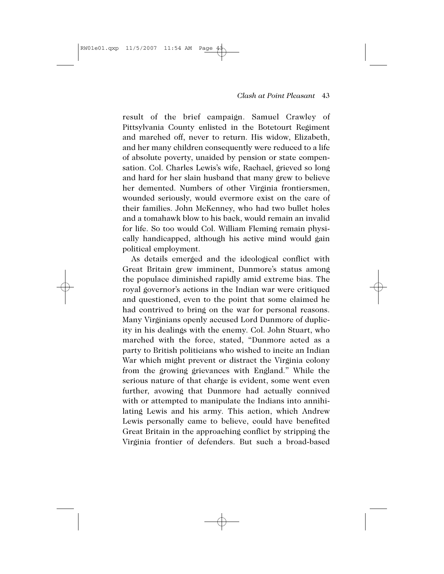result of the brief campaign. Samuel Crawley of Pittsylvania County enlisted in the Botetourt Regiment and marched off, never to return. His widow, Elizabeth, and her many children consequently were reduced to a life of absolute poverty, unaided by pension or state compensation. Col. Charles Lewis's wife, Rachael, grieved so long and hard for her slain husband that many grew to believe her demented. Numbers of other Virginia frontiersmen, wounded seriously, would evermore exist on the care of their families. John McKenney, who had two bullet holes and a tomahawk blow to his back, would remain an invalid for life. So too would Col. William Fleming remain physically handicapped, although his active mind would gain political employment.

As details emerged and the ideological conflict with Great Britain grew imminent, Dunmore's status among the populace diminished rapidly amid extreme bias. The royal governor's actions in the Indian war were critiqued and questioned, even to the point that some claimed he had contrived to bring on the war for personal reasons. Many Virginians openly accused Lord Dunmore of duplicity in his dealings with the enemy. Col. John Stuart, who marched with the force, stated, "Dunmore acted as a party to British politicians who wished to incite an Indian War which might prevent or distract the Virginia colony from the growing grievances with England." While the serious nature of that charge is evident, some went even further, avowing that Dunmore had actually connived with or attempted to manipulate the Indians into annihilating Lewis and his army. This action, which Andrew Lewis personally came to believe, could have benefited Great Britain in the approaching conflict by stripping the Virginia frontier of defenders. But such a broad-based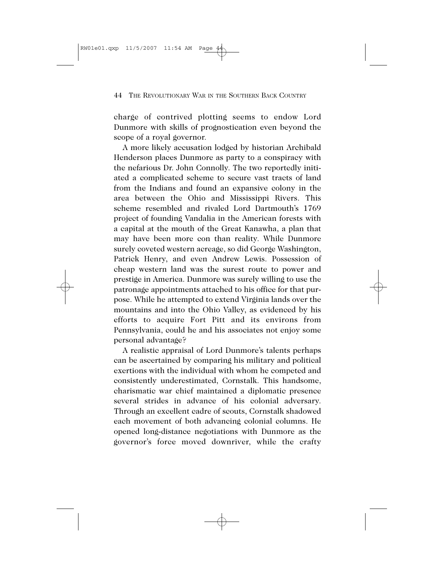charge of contrived plotting seems to endow Lord Dunmore with skills of prognostication even beyond the scope of a royal governor.

A more likely accusation lodged by historian Archibald Henderson places Dunmore as party to a conspiracy with the nefarious Dr. John Connolly. The two reportedly initiated a complicated scheme to secure vast tracts of land from the Indians and found an expansive colony in the area between the Ohio and Mississippi Rivers. This scheme resembled and rivaled Lord Dartmouth's 1769 project of founding Vandalia in the American forests with a capital at the mouth of the Great Kanawha, a plan that may have been more con than reality. While Dunmore surely coveted western acreage, so did George Washington, Patrick Henry, and even Andrew Lewis. Possession of cheap western land was the surest route to power and prestige in America. Dunmore was surely willing to use the patronage appointments attached to his office for that purpose. While he attempted to extend Virginia lands over the mountains and into the Ohio Valley, as evidenced by his efforts to acquire Fort Pitt and its environs from Pennsylvania, could he and his associates not enjoy some personal advantage?

A realistic appraisal of Lord Dunmore's talents perhaps can be ascertained by comparing his military and political exertions with the individual with whom he competed and consistently underestimated, Cornstalk. This handsome, charismatic war chief maintained a diplomatic presence several strides in advance of his colonial adversary. Through an excellent cadre of scouts, Cornstalk shadowed each movement of both advancing colonial columns. He opened long-distance negotiations with Dunmore as the governor's force moved downriver, while the crafty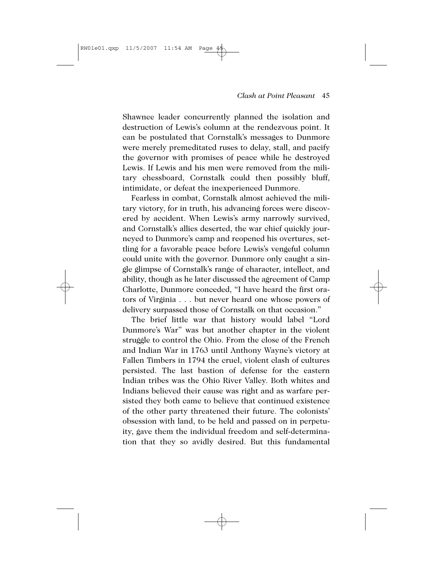Shawnee leader concurrently planned the isolation and destruction of Lewis's column at the rendezvous point. It can be postulated that Cornstalk's messages to Dunmore were merely premeditated ruses to delay, stall, and pacify the governor with promises of peace while he destroyed Lewis. If Lewis and his men were removed from the military chessboard, Cornstalk could then possibly bluff, intimidate, or defeat the inexperienced Dunmore.

Fearless in combat, Cornstalk almost achieved the military victory, for in truth, his advancing forces were discovered by accident. When Lewis's army narrowly survived, and Cornstalk's allies deserted, the war chief quickly journeyed to Dunmore's camp and reopened his overtures, settling for a favorable peace before Lewis's vengeful column could unite with the governor. Dunmore only caught a single glimpse of Cornstalk's range of character, intellect, and ability, though as he later discussed the agreement of Camp Charlotte, Dunmore conceded, "I have heard the first orators of Virginia . . . but never heard one whose powers of delivery surpassed those of Cornstalk on that occasion."

The brief little war that history would label "Lord Dunmore's War" was but another chapter in the violent struggle to control the Ohio. From the close of the French and Indian War in 1763 until Anthony Wayne's victory at Fallen Timbers in 1794 the cruel, violent clash of cultures persisted. The last bastion of defense for the eastern Indian tribes was the Ohio River Valley. Both whites and Indians believed their cause was right and as warfare persisted they both came to believe that continued existence of the other party threatened their future. The colonists' obsession with land, to be held and passed on in perpetuity, gave them the individual freedom and self-determination that they so avidly desired. But this fundamental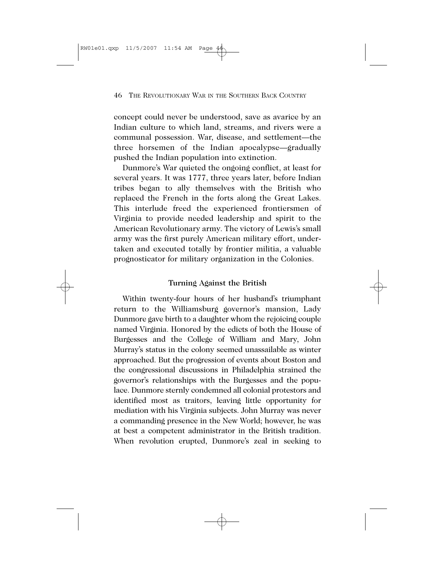concept could never be understood, save as avarice by an Indian culture to which land, streams, and rivers were a communal possession. War, disease, and settlement—the three horsemen of the Indian apocalypse—gradually pushed the Indian population into extinction.

Dunmore's War quieted the ongoing conflict, at least for several years. It was 1777, three years later, before Indian tribes began to ally themselves with the British who replaced the French in the forts along the Great Lakes. This interlude freed the experienced frontiersmen of Virginia to provide needed leadership and spirit to the American Revolutionary army. The victory of Lewis's small army was the first purely American military effort, undertaken and executed totally by frontier militia, a valuable prognosticator for military organization in the Colonies.

## Turning Against the British

Within twenty-four hours of her husband's triumphant return to the Williamsburg governor's mansion, Lady Dunmore gave birth to a daughter whom the rejoicing couple named Virginia. Honored by the edicts of both the House of Burgesses and the College of William and Mary, John Murray's status in the colony seemed unassailable as winter approached. But the progression of events about Boston and the congressional discussions in Philadelphia strained the governor's relationships with the Burgesses and the populace. Dunmore sternly condemned all colonial protestors and identified most as traitors, leaving little opportunity for mediation with his Virginia subjects. John Murray was never a commanding presence in the New World; however, he was at best a competent administrator in the British tradition. When revolution erupted, Dunmore's zeal in seeking to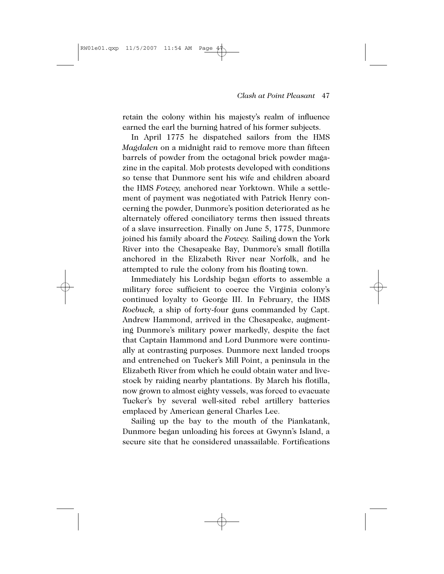retain the colony within his majesty's realm of influence earned the earl the burning hatred of his former subjects.

In April 1775 he dispatched sailors from the HMS *Magdalen* on a midnight raid to remove more than fifteen barrels of powder from the octagonal brick powder magazine in the capital. Mob protests developed with conditions so tense that Dunmore sent his wife and children aboard the HMS *Fowey,* anchored near Yorktown. While a settlement of payment was negotiated with Patrick Henry concerning the powder, Dunmore's position deteriorated as he alternately offered conciliatory terms then issued threats of a slave insurrection. Finally on June 5, 1775, Dunmore joined his family aboard the *Fowey.* Sailing down the York River into the Chesapeake Bay, Dunmore's small flotilla anchored in the Elizabeth River near Norfolk, and he attempted to rule the colony from his floating town.

Immediately his Lordship began efforts to assemble a military force sufficient to coerce the Virginia colony's continued loyalty to George III. In February, the HMS *Roebuck,* a ship of forty-four guns commanded by Capt. Andrew Hammond, arrived in the Chesapeake, augmenting Dunmore's military power markedly, despite the fact that Captain Hammond and Lord Dunmore were continually at contrasting purposes. Dunmore next landed troops and entrenched on Tucker's Mill Point, a peninsula in the Elizabeth River from which he could obtain water and livestock by raiding nearby plantations. By March his flotilla, now grown to almost eighty vessels, was forced to evacuate Tucker's by several well-sited rebel artillery batteries emplaced by American general Charles Lee.

Sailing up the bay to the mouth of the Piankatank, Dunmore began unloading his forces at Gwynn's Island, a secure site that he considered unassailable. Fortifications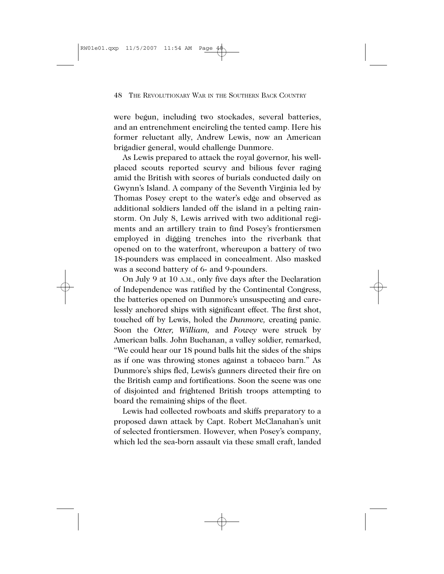were begun, including two stockades, several batteries, and an entrenchment encircling the tented camp. Here his former reluctant ally, Andrew Lewis, now an American brigadier general, would challenge Dunmore.

As Lewis prepared to attack the royal governor, his wellplaced scouts reported scurvy and bilious fever raging amid the British with scores of burials conducted daily on Gwynn's Island. A company of the Seventh Virginia led by Thomas Posey crept to the water's edge and observed as additional soldiers landed off the island in a pelting rainstorm. On July 8, Lewis arrived with two additional regiments and an artillery train to find Posey's frontiersmen employed in digging trenches into the riverbank that opened on to the waterfront, whereupon a battery of two 18-pounders was emplaced in concealment. Also masked was a second battery of 6- and 9-pounders.

On July 9 at 10 A.M., only five days after the Declaration of Independence was ratified by the Continental Congress, the batteries opened on Dunmore's unsuspecting and carelessly anchored ships with significant effect. The first shot, touched off by Lewis, holed the *Dunmore,* creating panic. Soon the *Otter, William,* and *Fowey* were struck by American balls. John Buchanan, a valley soldier, remarked, "We could hear our 18 pound balls hit the sides of the ships as if one was throwing stones against a tobacco barn." As Dunmore's ships fled, Lewis's gunners directed their fire on the British camp and fortifications. Soon the scene was one of disjointed and frightened British troops attempting to board the remaining ships of the fleet.

Lewis had collected rowboats and skiffs preparatory to a proposed dawn attack by Capt. Robert McClanahan's unit of selected frontiersmen. However, when Posey's company, which led the sea-born assault via these small craft, landed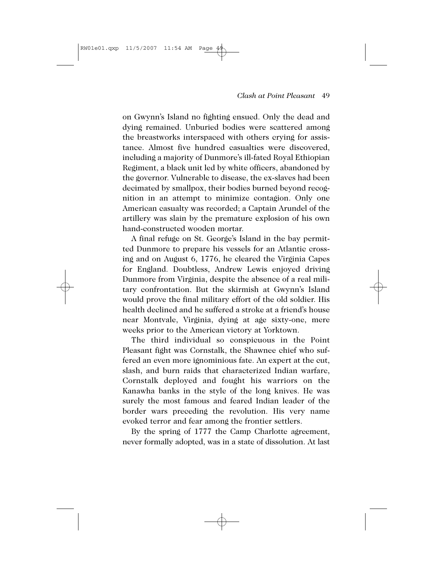on Gwynn's Island no fighting ensued. Only the dead and dying remained. Unburied bodies were scattered among the breastworks interspaced with others crying for assistance. Almost five hundred casualties were discovered, including a majority of Dunmore's ill-fated Royal Ethiopian Regiment, a black unit led by white officers, abandoned by the governor. Vulnerable to disease, the ex-slaves had been decimated by smallpox, their bodies burned beyond recognition in an attempt to minimize contagion. Only one American casualty was recorded; a Captain Arundel of the artillery was slain by the premature explosion of his own hand-constructed wooden mortar.

A final refuge on St. George's Island in the bay permitted Dunmore to prepare his vessels for an Atlantic crossing and on August 6, 1776, he cleared the Virginia Capes for England. Doubtless, Andrew Lewis enjoyed driving Dunmore from Virginia, despite the absence of a real military confrontation. But the skirmish at Gwynn's Island would prove the final military effort of the old soldier. His health declined and he suffered a stroke at a friend's house near Montvale, Virginia, dying at age sixty-one, mere weeks prior to the American victory at Yorktown.

The third individual so conspicuous in the Point Pleasant fight was Cornstalk, the Shawnee chief who suffered an even more ignominious fate. An expert at the cut, slash, and burn raids that characterized Indian warfare, Cornstalk deployed and fought his warriors on the Kanawha banks in the style of the long knives. He was surely the most famous and feared Indian leader of the border wars preceding the revolution. His very name evoked terror and fear among the frontier settlers.

By the spring of 1777 the Camp Charlotte agreement, never formally adopted, was in a state of dissolution. At last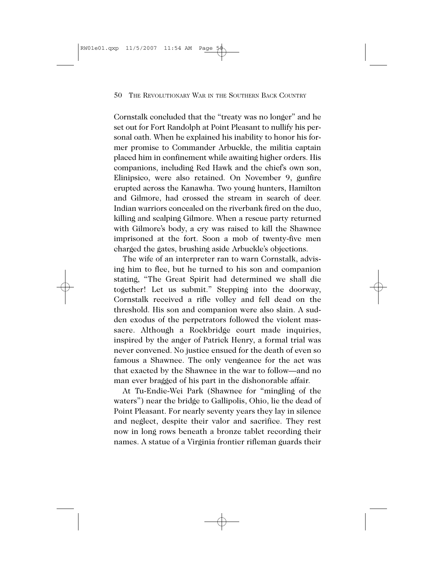Cornstalk concluded that the "treaty was no longer" and he set out for Fort Randolph at Point Pleasant to nullify his personal oath. When he explained his inability to honor his former promise to Commander Arbuckle, the militia captain placed him in confinement while awaiting higher orders. His companions, including Red Hawk and the chief's own son, Elinipsico, were also retained. On November 9, gunfire erupted across the Kanawha. Two young hunters, Hamilton and Gilmore, had crossed the stream in search of deer. Indian warriors concealed on the riverbank fired on the duo, killing and scalping Gilmore. When a rescue party returned with Gilmore's body, a cry was raised to kill the Shawnee imprisoned at the fort. Soon a mob of twenty-five men charged the gates, brushing aside Arbuckle's objections.

The wife of an interpreter ran to warn Cornstalk, advising him to flee, but he turned to his son and companion stating, "The Great Spirit had determined we shall die together! Let us submit." Stepping into the doorway, Cornstalk received a rifle volley and fell dead on the threshold. His son and companion were also slain. A sudden exodus of the perpetrators followed the violent massacre. Although a Rockbridge court made inquiries, inspired by the anger of Patrick Henry, a formal trial was never convened. No justice ensued for the death of even so famous a Shawnee. The only vengeance for the act was that exacted by the Shawnee in the war to follow—and no man ever bragged of his part in the dishonorable affair.

At Tu-Endie-Wei Park (Shawnee for "mingling of the waters") near the bridge to Gallipolis, Ohio, lie the dead of Point Pleasant. For nearly seventy years they lay in silence and neglect, despite their valor and sacrifice. They rest now in long rows beneath a bronze tablet recording their names. A statue of a Virginia frontier rifleman guards their